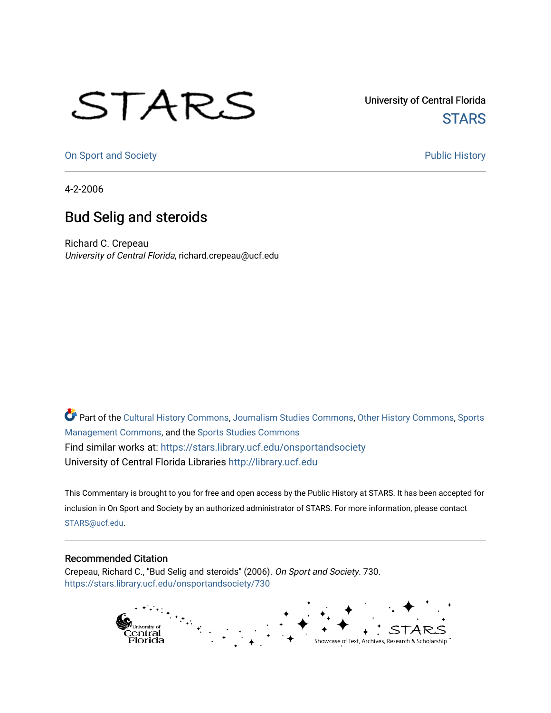## STARS

University of Central Florida **STARS** 

[On Sport and Society](https://stars.library.ucf.edu/onsportandsociety) **Public History** Public History

4-2-2006

## Bud Selig and steroids

Richard C. Crepeau University of Central Florida, richard.crepeau@ucf.edu

Part of the [Cultural History Commons](http://network.bepress.com/hgg/discipline/496?utm_source=stars.library.ucf.edu%2Fonsportandsociety%2F730&utm_medium=PDF&utm_campaign=PDFCoverPages), [Journalism Studies Commons,](http://network.bepress.com/hgg/discipline/333?utm_source=stars.library.ucf.edu%2Fonsportandsociety%2F730&utm_medium=PDF&utm_campaign=PDFCoverPages) [Other History Commons,](http://network.bepress.com/hgg/discipline/508?utm_source=stars.library.ucf.edu%2Fonsportandsociety%2F730&utm_medium=PDF&utm_campaign=PDFCoverPages) [Sports](http://network.bepress.com/hgg/discipline/1193?utm_source=stars.library.ucf.edu%2Fonsportandsociety%2F730&utm_medium=PDF&utm_campaign=PDFCoverPages) [Management Commons](http://network.bepress.com/hgg/discipline/1193?utm_source=stars.library.ucf.edu%2Fonsportandsociety%2F730&utm_medium=PDF&utm_campaign=PDFCoverPages), and the [Sports Studies Commons](http://network.bepress.com/hgg/discipline/1198?utm_source=stars.library.ucf.edu%2Fonsportandsociety%2F730&utm_medium=PDF&utm_campaign=PDFCoverPages) Find similar works at: <https://stars.library.ucf.edu/onsportandsociety> University of Central Florida Libraries [http://library.ucf.edu](http://library.ucf.edu/) 

This Commentary is brought to you for free and open access by the Public History at STARS. It has been accepted for inclusion in On Sport and Society by an authorized administrator of STARS. For more information, please contact [STARS@ucf.edu](mailto:STARS@ucf.edu).

## Recommended Citation

Crepeau, Richard C., "Bud Selig and steroids" (2006). On Sport and Society. 730. [https://stars.library.ucf.edu/onsportandsociety/730](https://stars.library.ucf.edu/onsportandsociety/730?utm_source=stars.library.ucf.edu%2Fonsportandsociety%2F730&utm_medium=PDF&utm_campaign=PDFCoverPages)

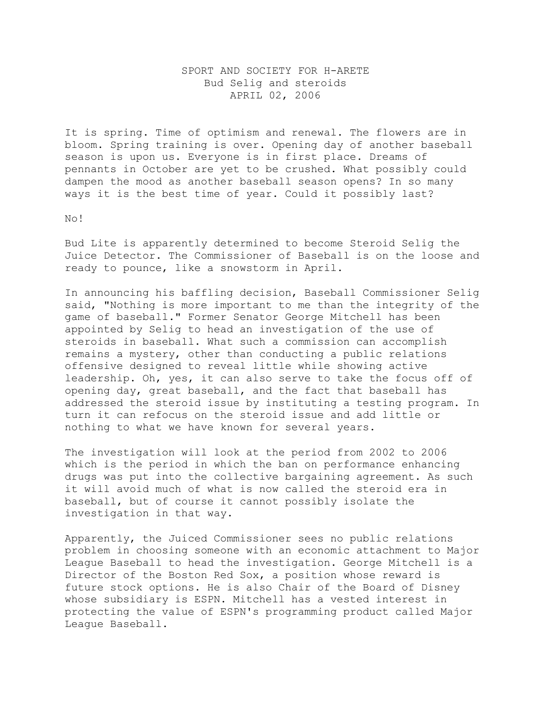## SPORT AND SOCIETY FOR H-ARETE Bud Selig and steroids APRIL 02, 2006

It is spring. Time of optimism and renewal. The flowers are in bloom. Spring training is over. Opening day of another baseball season is upon us. Everyone is in first place. Dreams of pennants in October are yet to be crushed. What possibly could dampen the mood as another baseball season opens? In so many ways it is the best time of year. Could it possibly last?

No!

Bud Lite is apparently determined to become Steroid Selig the Juice Detector. The Commissioner of Baseball is on the loose and ready to pounce, like a snowstorm in April.

In announcing his baffling decision, Baseball Commissioner Selig said, "Nothing is more important to me than the integrity of the game of baseball." Former Senator George Mitchell has been appointed by Selig to head an investigation of the use of steroids in baseball. What such a commission can accomplish remains a mystery, other than conducting a public relations offensive designed to reveal little while showing active leadership. Oh, yes, it can also serve to take the focus off of opening day, great baseball, and the fact that baseball has addressed the steroid issue by instituting a testing program. In turn it can refocus on the steroid issue and add little or nothing to what we have known for several years.

The investigation will look at the period from 2002 to 2006 which is the period in which the ban on performance enhancing drugs was put into the collective bargaining agreement. As such it will avoid much of what is now called the steroid era in baseball, but of course it cannot possibly isolate the investigation in that way.

Apparently, the Juiced Commissioner sees no public relations problem in choosing someone with an economic attachment to Major League Baseball to head the investigation. George Mitchell is a Director of the Boston Red Sox, a position whose reward is future stock options. He is also Chair of the Board of Disney whose subsidiary is ESPN. Mitchell has a vested interest in protecting the value of ESPN's programming product called Major League Baseball.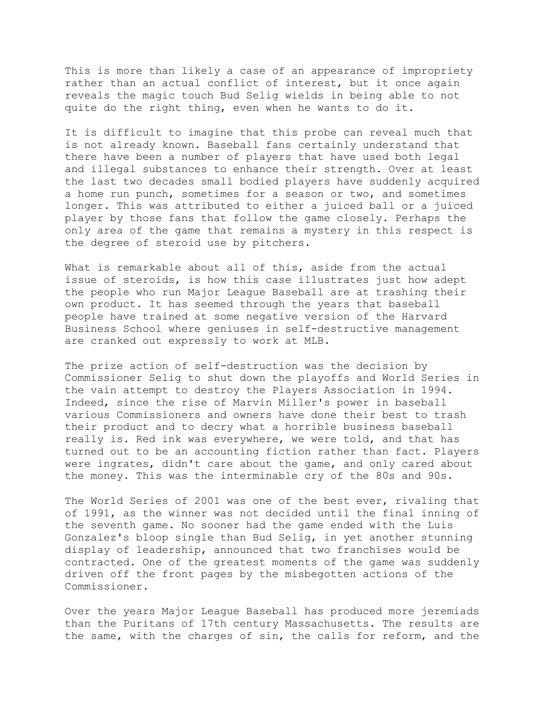This is more than likely a case of an appearance of impropriety rather than an actual conflict of interest, but it once again reveals the magic touch Bud Selig wields in being able to not quite do the right thing, even when he wants to do it.

It is difficult to imagine that this probe can reveal much that is not already known. Baseball fans certainly understand that there have been a number of players that have used both legal and illegal substances to enhance their strength. Over at least the last two decades small bodied players have suddenly acquired a home run punch, sometimes for a season or two, and sometimes longer. This was attributed to either a juiced ball or a juiced player by those fans that follow the game closely. Perhaps the only area of the game that remains a mystery in this respect is the degree of steroid use by pitchers.

What is remarkable about all of this, aside from the actual issue of steroids, is how this case illustrates just how adept the people who run Major League Baseball are at trashing their own product. It has seemed through the years that baseball people have trained at some negative version of the Harvard Business School where geniuses in self-destructive management are cranked out expressly to work at MLB.

The prize action of self-destruction was the decision by Commissioner Selig to shut down the playoffs and World Series in the vain attempt to destroy the Players Association in 1994. Indeed, since the rise of Marvin Miller's power in baseball various Commissioners and owners have done their best to trash their product and to decry what a horrible business baseball really is. Red ink was everywhere, we were told, and that has turned out to be an accounting fiction rather than fact. Players were ingrates, didn't care about the game, and only cared about the money. This was the interminable cry of the 80s and 90s.

The World Series of 2001 was one of the best ever, rivaling that of 1991, as the winner was not decided until the final inning of the seventh game. No sooner had the game ended with the Luis Gonzalez's bloop single than Bud Selig, in yet another stunning display of leadership, announced that two franchises would be contracted. One of the greatest moments of the game was suddenly driven off the front pages by the misbegotten actions of the Commissioner.

Over the years Major League Baseball has produced more jeremiads than the Puritans of 17th century Massachusetts. The results are the same, with the charges of sin, the calls for reform, and the